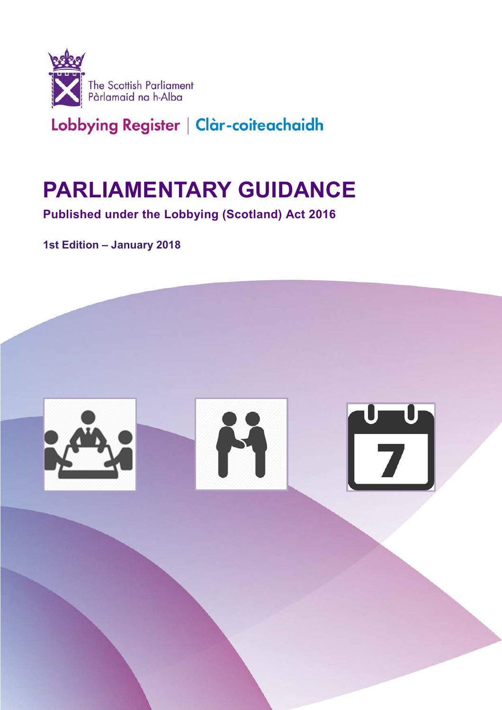

# **PARLIAMENTARY GUIDANCE**

 **Published under the Lobbying (Scotland) Act 2016** 

**1st Edition – January 2018** 

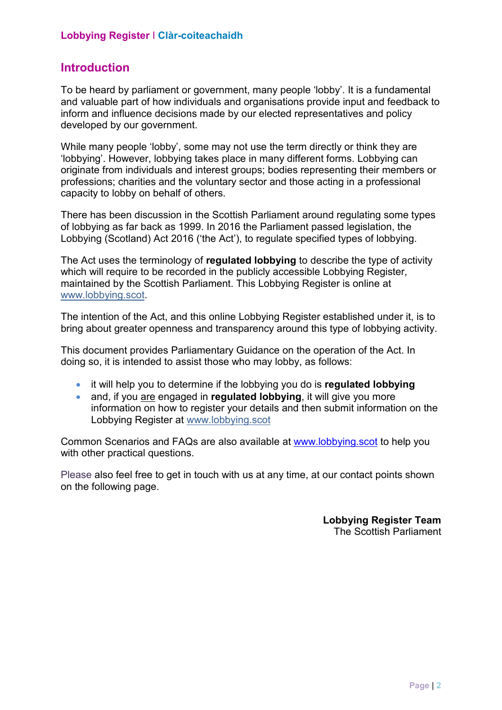#### **Introduction**

To be heard by parliament or government, many people 'lobby'. It is a fundamental and valuable part of how individuals and organisations provide input and feedback to inform and influence decisions made by our elected representatives and policy developed by our government.

While many people 'lobby', some may not use the term directly or think they are 'lobbying'. However, lobbying takes place in many different forms. Lobbying can originate from individuals and interest groups; bodies representing their members or professions; charities and the voluntary sector and those acting in a professional capacity to lobby on behalf of others.

There has been discussion in the Scottish Parliament around regulating some types of lobbying as far back as 1999. In 2016 the Parliament passed legislation, the Lobbying (Scotland) Act 2016 ('the Act'), to regulate specified types of lobbying.

 The Act uses the terminology of **regulated lobbying** to describe the type of activity maintained by the Scottish Parliament. This Lobbying Register is online at which will require to be recorded in the publicly accessible Lobbying Register, www.lobbying.scot.

The intention of the Act, and this online Lobbying Register established under it, is to bring about greater openness and transparency around this type of lobbying activity.

This document provides Parliamentary Guidance on the operation of the Act. In doing so, it is intended to assist those who may lobby, as follows:

- it will help you to determine if the lobbying you do is **regulated lobbying**
- **•** and, if you are engaged in **regulated lobbying**, it will give you more information on how to register your details and then submit information on the Lobbying Register at www.lobbying.scot

 with other practical questions. Common Scenarios and FAQs are also available at www.lobbying.scot to help you

 Please also feel free to get in touch with us at any time, at our contact points shown on the following page.

> **Lobbying Register Team**  The Scottish Parliament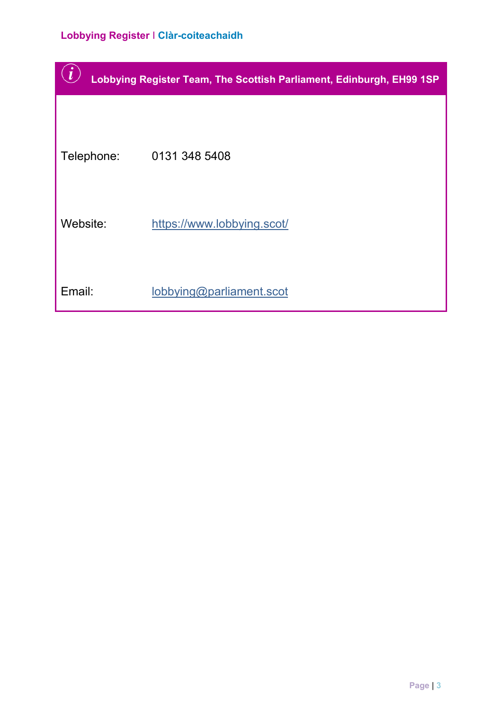|            | Lobbying Register Team, The Scottish Parliament, Edinburgh, EH99 1SP |
|------------|----------------------------------------------------------------------|
|            |                                                                      |
| Telephone: | 0131 348 5408                                                        |
| Website:   | https://www.lobbying.scot/                                           |
| Email:     | lobbying@parliament.scot                                             |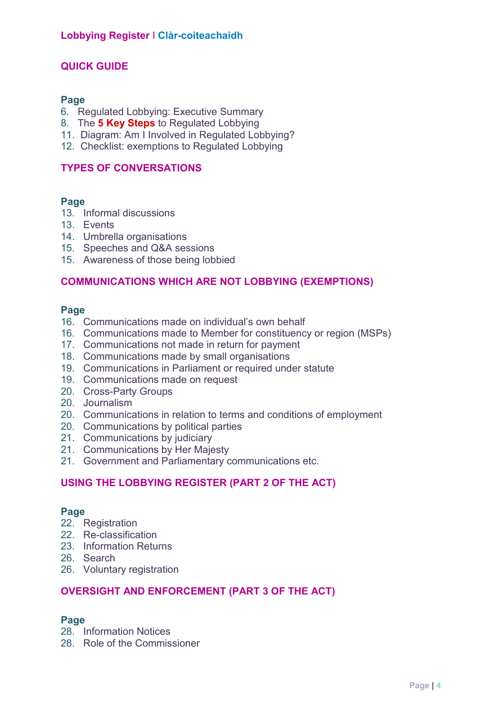#### **QUICK GUIDE**

#### **Page**

- 6. Regulated Lobbying: Executive Summary
- 8. The **5 Key Steps** to Regulated Lobbying
- 11. Diagram: Am I Involved in Regulated Lobbying?
- 12. Checklist: exemptions to Regulated Lobbying

#### **TYPES OF CONVERSATIONS**

#### **Page**

- 13. Informal discussions
- 13. Events
- 14. Umbrella organisations
- 15. Speeches and Q&A sessions
- 15. Awareness of those being lobbied

#### **COMMUNICATIONS WHICH ARE NOT LOBBYING (EXEMPTIONS)**

#### **Page**

- 16. Communications made on individual's own behalf
- 16. Communications made to Member for constituency or region (MSPs)
- 17. Communications not made in return for payment
- 18. Communications made by small organisations
- 19. Communications in Parliament or required under statute
- 19. Communications made on request
- 20. Cross-Party Groups
- 20. Journalism
- 20. Communications in relation to terms and conditions of employment
- 20. Communications by political parties
- 21. Communications by judiciary
- 21. Communications by Her Majesty
- 21. Government and Parliamentary communications etc.

#### **USING THE LOBBYING REGISTER (PART 2 OF THE ACT)**

#### **Page**

- 22. Registration
- 22. Re-classification
- 23. Information Returns
- 26. Search
- 26. Voluntary registration

#### **OVERSIGHT AND ENFORCEMENT (PART 3 OF THE ACT)**

#### **Page**

- 28. Information Notices
- 28. Role of the Commissioner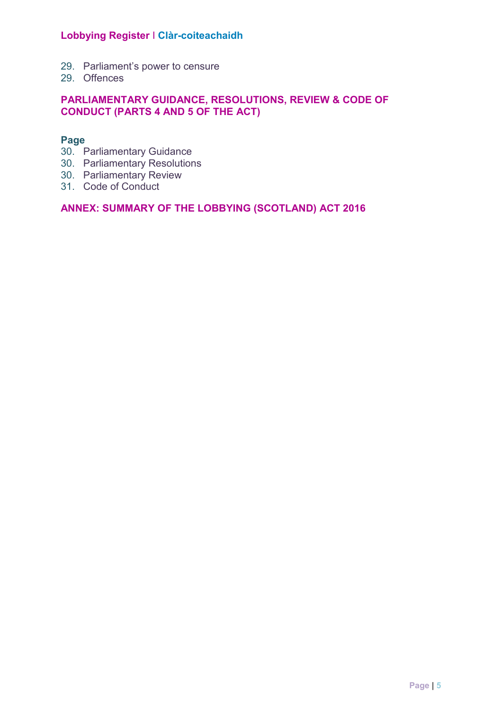- 29. Parliament's power to censure
- 29. Offences

#### **PARLIAMENTARY GUIDANCE, RESOLUTIONS, REVIEW & CODE OF CONDUCT (PARTS 4 AND 5 OF THE ACT)**

#### **Page**

- 30. Parliamentary Guidance
- 30. Parliamentary Resolutions
- 30. Parliamentary Review
- 31. Code of Conduct

#### **ANNEX: SUMMARY OF THE LOBBYING (SCOTLAND) ACT 2016**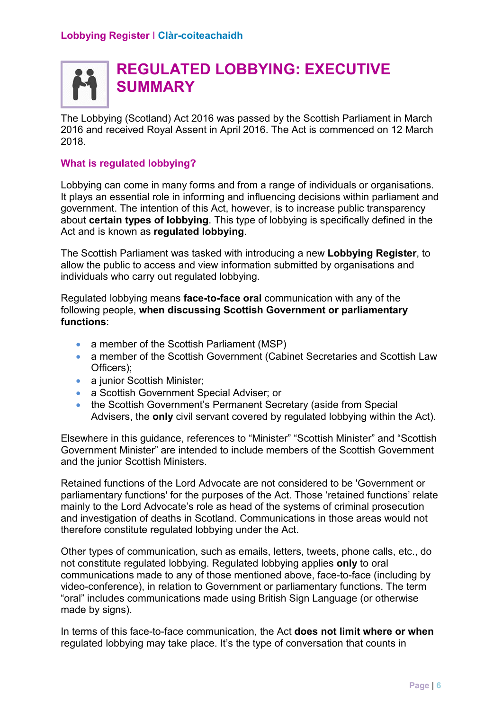## **REGULATED LOBBYING: EXECUTIVE SUMMARY**

 2016 and received Royal Assent in April 2016. The Act is commenced on 12 March The Lobbying (Scotland) Act 2016 was passed by the Scottish Parliament in March 2018.

#### **What is regulated lobbying?**

Lobbying can come in many forms and from a range of individuals or organisations. It plays an essential role in informing and influencing decisions within parliament and government. The intention of this Act, however, is to increase public transparency about **certain types of lobbying**. This type of lobbying is specifically defined in the Act and is known as **regulated lobbying**.

 allow the public to access and view information submitted by organisations and The Scottish Parliament was tasked with introducing a new **Lobbying Register**, to individuals who carry out regulated lobbying.

Regulated lobbying means **face-to-face oral** communication with any of the following people, **when discussing Scottish Government or parliamentary functions**:

- a member of the Scottish Parliament (MSP)
- a member of the Scottish Government (Cabinet Secretaries and Scottish Law Officers);
- a junior Scottish Minister;
- a Scottish Government Special Adviser; or
- the Scottish Government's Permanent Secretary (aside from Special Advisers, the **only** civil servant covered by regulated lobbying within the Act).

 and the junior Scottish Ministers. Elsewhere in this guidance, references to "Minister" "Scottish Minister" and "Scottish Government Minister" are intended to include members of the Scottish Government

 parliamentary functions' for the purposes of the Act. Those 'retained functions' relate Retained functions of the Lord Advocate are not considered to be 'Government or mainly to the Lord Advocate's role as head of the systems of criminal prosecution and investigation of deaths in Scotland. Communications in those areas would not therefore constitute regulated lobbying under the Act.

 communications made to any of those mentioned above, face-to-face (including by Other types of communication, such as emails, letters, tweets, phone calls, etc., do not constitute regulated lobbying. Regulated lobbying applies **only** to oral video-conference), in relation to Government or parliamentary functions. The term "oral" includes communications made using British Sign Language (or otherwise made by signs).

In terms of this face-to-face communication, the Act **does not limit where or when**  regulated lobbying may take place. It's the type of conversation that counts in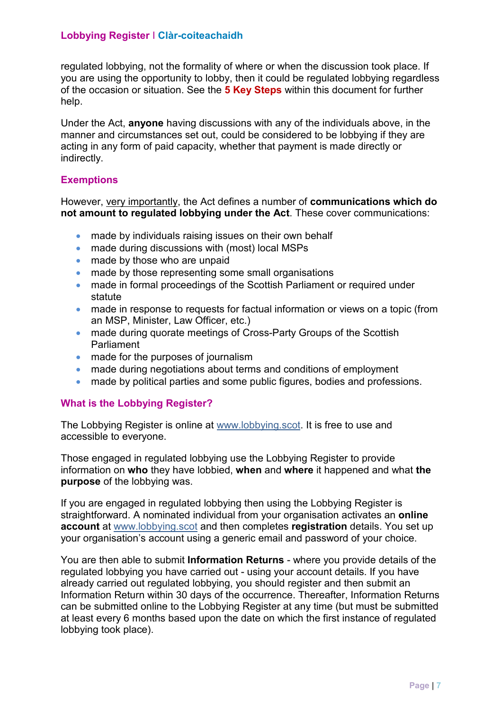regulated lobbying, not the formality of where or when the discussion took place. If you are using the opportunity to lobby, then it could be regulated lobbying regardless of the occasion or situation. See the **5 Key Steps** within this document for further help.

 Under the Act, **anyone** having discussions with any of the individuals above, in the acting in any form of paid capacity, whether that payment is made directly or manner and circumstances set out, could be considered to be lobbying if they are indirectly.

#### **Exemptions**

However, very importantly, the Act defines a number of **communications which do not amount to regulated lobbying under the Act**. These cover communications:

- made by individuals raising issues on their own behalf
- made during discussions with (most) local MSPs<br>made by those who are unpaid
- •
- made by those representing some small organisations
- made in formal proceedings of the Scottish Parliament or required under statute
- made in response to requests for factual information or views on a topic (from an MSP, Minister, Law Officer, etc.)
- made during quorate meetings of Cross-Party Groups of the Scottish Parliament
- made for the purposes of journalism
- made during negotiations about terms and conditions of employment
- made by political parties and some public figures, bodies and professions.

#### **What is the Lobbying Register?**

The Lobbying Register is online at www.lobbying.scot. It is free to use and accessible to everyone.

Those engaged in regulated lobbying use the Lobbying Register to provide information on **who** they have lobbied, **when** and **where** it happened and what **the purpose** of the lobbying was.

If you are engaged in regulated lobbying then using the Lobbying Register is straightforward. A nominated individual from your organisation activates an **online account** at www.lobbying.scot and then completes **registration** details. You set up your organisation's account using a generic email and password of your choice.

 You are then able to submit **Information Returns** - where you provide details of the at least every 6 months based upon the date on which the first instance of regulated regulated lobbying you have carried out - using your account details. If you have already carried out regulated lobbying, you should register and then submit an Information Return within 30 days of the occurrence. Thereafter, Information Returns can be submitted online to the Lobbying Register at any time (but must be submitted lobbying took place).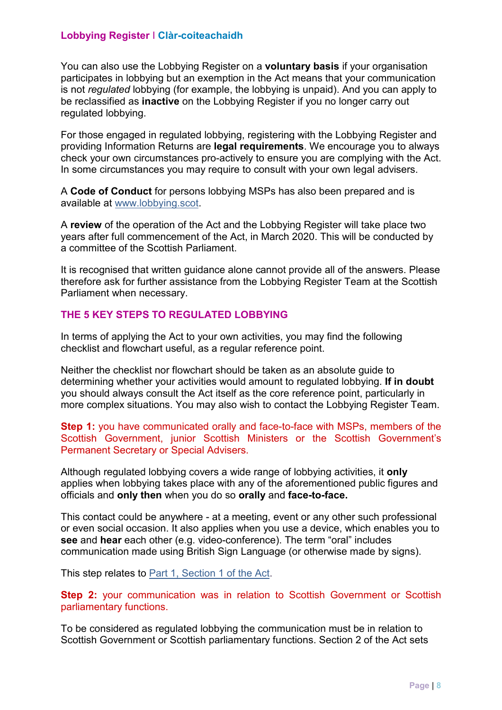is not *regulated* lobbying (for example, the lobbying is unpaid). And you can apply to You can also use the Lobbying Register on a **voluntary basis** if your organisation participates in lobbying but an exemption in the Act means that your communication be reclassified as **inactive** on the Lobbying Register if you no longer carry out regulated lobbying.

For those engaged in regulated lobbying, registering with the Lobbying Register and providing Information Returns are **legal requirements**. We encourage you to always check your own circumstances pro-actively to ensure you are complying with the Act. In some circumstances you may require to consult with your own legal advisers.

available at www.lobbying.scot. A **Code of Conduct** for persons lobbying MSPs has also been prepared and is

A **review** of the operation of the Act and the Lobbying Register will take place two years after full commencement of the Act, in March 2020. This will be conducted by a committee of the Scottish Parliament.

 It is recognised that written guidance alone cannot provide all of the answers. Please therefore ask for further assistance from the Lobbying Register Team at the Scottish Parliament when necessary.

#### **THE 5 KEY STEPS TO REGULATED LOBBYING**

In terms of applying the Act to your own activities, you may find the following checklist and flowchart useful, as a regular reference point.

 Neither the checklist nor flowchart should be taken as an absolute guide to determining whether your activities would amount to regulated lobbying. **If in doubt**  you should always consult the Act itself as the core reference point, particularly in more complex situations. You may also wish to contact the Lobbying Register Team.

 Scottish Government, junior Scottish Ministers or the Scottish Government's **Step 1:** you have communicated orally and face-to-face with MSPs, members of the Permanent Secretary or Special Advisers.

 applies when lobbying takes place with any of the aforementioned public figures and Although regulated lobbying covers a wide range of lobbying activities, it **only**  officials and **only then** when you do so **orally** and **face-to-face.** 

 This contact could be anywhere - at a meeting, event or any other such professional or even social occasion. It also applies when you use a device, which enables you to **see** and **hear** each other (e.g. video-conference). The term "oral" includes communication made using British Sign Language (or otherwise made by signs).

This step relates to **Part 1**, Section 1 of the Act.

 **Step 2:** your communication was in relation to Scottish Government or Scottish parliamentary functions.

To be considered as regulated lobbying the communication must be in relation to Scottish Government or Scottish parliamentary functions. Section 2 of the Act sets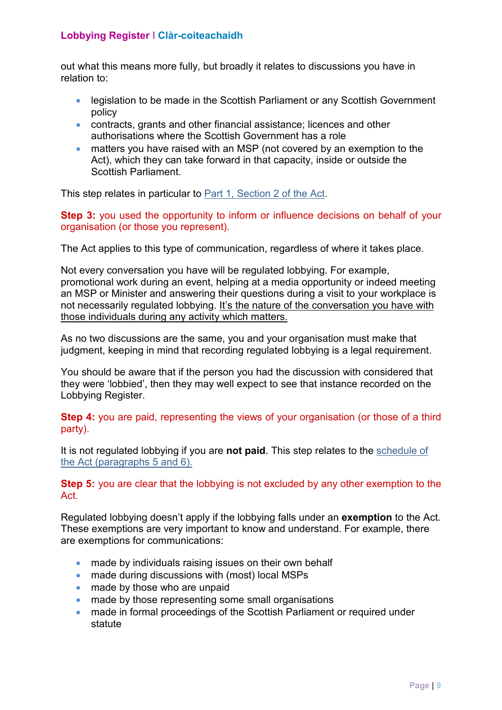out what this means more fully, but broadly it relates to discussions you have in relation to:

- legislation to be made in the Scottish Parliament or any Scottish Government policy
- contracts, grants and other financial assistance; licences and other authorisations where the Scottish Government has a role
- matters you have raised with an MSP (not covered by an exemption to the Act), which they can take forward in that capacity, inside or outside the Scottish Parliament.

This step relates in particular to [Part 1, Section 2 of the Act.](http://www.legislation.gov.uk/asp/2016/16/section/2/enacted) 

 **Step 3:** you used the opportunity to inform or influence decisions on behalf of your organisation (or those you represent).

The Act applies to this type of communication, regardless of where it takes place.

Not every conversation you have will be regulated lobbying. For example, promotional work during an event, helping at a media opportunity or indeed meeting an MSP or Minister and answering their questions during a visit to your workplace is not necessarily regulated lobbying. It's the nature of the conversation you have with those individuals during any activity which matters.

As no two discussions are the same, you and your organisation must make that judgment, keeping in mind that recording regulated lobbying is a legal requirement.

You should be aware that if the person you had the discussion with considered that they were 'lobbied', then they may well expect to see that instance recorded on the Lobbying Register.

**Step 4:** you are paid, representing the views of your organisation (or those of a third party).

It is not regulated lobbying if you are **not paid**. This step relates to the [schedule of](http://www.legislation.gov.uk/asp/2016/16/schedule/enacted)  [the Act \(paragraphs 5 and 6\).](http://www.legislation.gov.uk/asp/2016/16/schedule/enacted) 

 **Step 5:** you are clear that the lobbying is not excluded by any other exemption to the **Act** 

 Regulated lobbying doesn't apply if the lobbying falls under an **exemption** to the Act. These exemptions are very important to know and understand. For example, there are exemptions for communications:

- made by individuals raising issues on their own behalf
- made during discussions with (most) local MSPs
- made by those who are unpaid
- made by those representing some small organisations
- made in formal proceedings of the Scottish Parliament or required under statute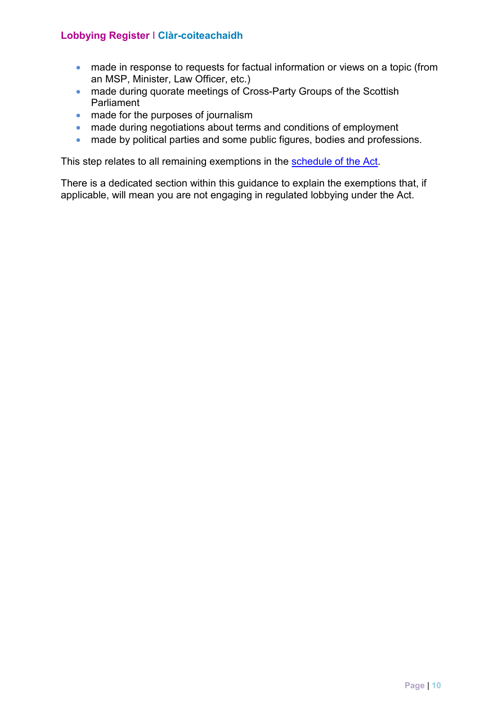- made in response to requests for factual information or views on a topic (from an MSP, Minister, Law Officer, etc.)
- made during quorate meetings of Cross-Party Groups of the Scottish Parliament
- made for the purposes of journalism
- made during negotiations about terms and conditions of employment
- made by political parties and some public figures, bodies and professions.

This step relates to all remaining exemptions in the schedule of the Act.

There is a dedicated section within this guidance to explain the exemptions that, if applicable, will mean you are not engaging in regulated lobbying under the Act.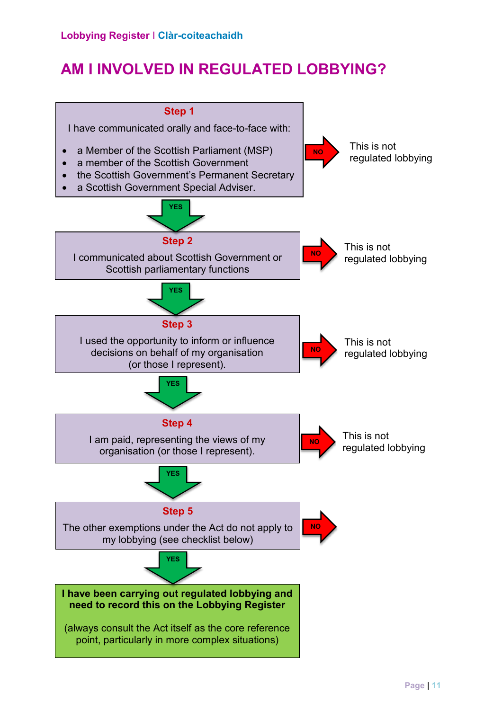## **AM I INVOLVED IN REGULATED LOBBYING?**

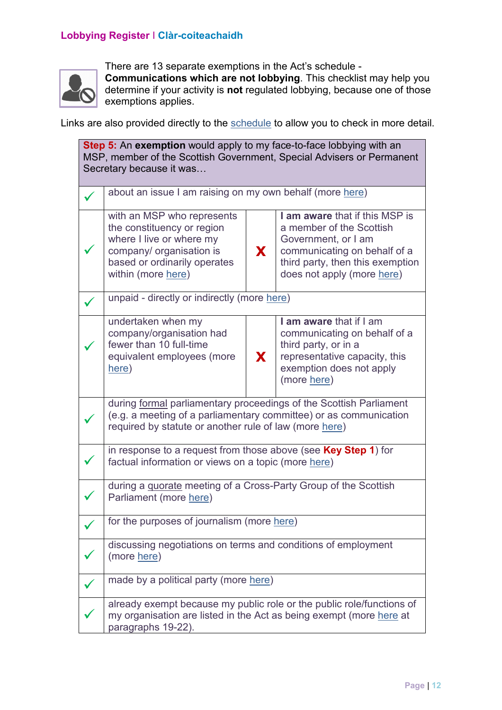

 There are 13 separate exemptions in the Act's schedule - **Communications which are not lobbying**. This checklist may help you determine if your activity is **not** regulated lobbying, because one of those exemptions applies.

Links are also provided directly to the [schedule t](http://www.legislation.gov.uk/asp/2016/16/schedule/enacted)o allow you to check in more detail.

| Step 5: An exemption would apply to my face-to-face lobbying with an<br>MSP, member of the Scottish Government, Special Advisers or Permanent<br>Secretary because it was |                                                                                                                                                                                                   |                                                                                                                                                                                           |  |
|---------------------------------------------------------------------------------------------------------------------------------------------------------------------------|---------------------------------------------------------------------------------------------------------------------------------------------------------------------------------------------------|-------------------------------------------------------------------------------------------------------------------------------------------------------------------------------------------|--|
|                                                                                                                                                                           | about an issue I am raising on my own behalf (more here)                                                                                                                                          |                                                                                                                                                                                           |  |
|                                                                                                                                                                           | with an MSP who represents<br>the constituency or region<br>where I live or where my<br>company/ organisation is<br>based or ordinarily operates<br>within (more here)                            | I am aware that if this MSP is<br>a member of the Scottish<br>Government, or I am<br>communicating on behalf of a<br>X.<br>third party, then this exemption<br>does not apply (more here) |  |
|                                                                                                                                                                           | unpaid - directly or indirectly (more here)                                                                                                                                                       |                                                                                                                                                                                           |  |
|                                                                                                                                                                           | undertaken when my<br>company/organisation had<br>fewer than 10 full-time<br>equivalent employees (more<br>here)                                                                                  | I am aware that if I am<br>communicating on behalf of a<br>third party, or in a<br>representative capacity, this<br><b>X</b><br>exemption does not apply<br>(more here)                   |  |
|                                                                                                                                                                           | during formal parliamentary proceedings of the Scottish Parliament<br>(e.g. a meeting of a parliamentary committee) or as communication<br>required by statute or another rule of law (more here) |                                                                                                                                                                                           |  |
|                                                                                                                                                                           | in response to a request from those above (see <b>Key Step 1</b> ) for<br>factual information or views on a topic (more here)                                                                     |                                                                                                                                                                                           |  |
|                                                                                                                                                                           | during a quorate meeting of a Cross-Party Group of the Scottish<br>Parliament (more here)                                                                                                         |                                                                                                                                                                                           |  |
|                                                                                                                                                                           | for the purposes of journalism (more here)                                                                                                                                                        |                                                                                                                                                                                           |  |
|                                                                                                                                                                           | discussing negotiations on terms and conditions of employment<br>(more here)                                                                                                                      |                                                                                                                                                                                           |  |
|                                                                                                                                                                           | made by a political party (more here)                                                                                                                                                             |                                                                                                                                                                                           |  |
|                                                                                                                                                                           | already exempt because my public role or the public role/functions of<br>my organisation are listed in the Act as being exempt (more here at<br>paragraphs 19-22).                                |                                                                                                                                                                                           |  |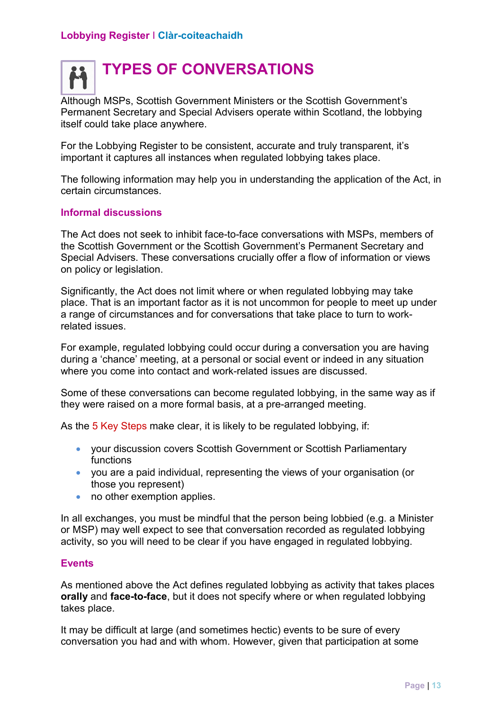# **TYPES OF CONVERSATIONS**

Although MSPs, Scottish Government Ministers or the Scottish Government's Permanent Secretary and Special Advisers operate within Scotland, the lobbying itself could take place anywhere.

For the Lobbying Register to be consistent, accurate and truly transparent, it's important it captures all instances when regulated lobbying takes place.

The following information may help you in understanding the application of the Act, in certain circumstances.

#### **Informal discussions**

The Act does not seek to inhibit face-to-face conversations with MSPs, members of the Scottish Government or the Scottish Government's Permanent Secretary and Special Advisers. These conversations crucially offer a flow of information or views on policy or legislation.

 place. That is an important factor as it is not uncommon for people to meet up under a range of circumstances and for conversations that take place to turn to work-Significantly, the Act does not limit where or when regulated lobbying may take related issues.

For example, regulated lobbying could occur during a conversation you are having during a 'chance' meeting, at a personal or social event or indeed in any situation where you come into contact and work-related issues are discussed.

Some of these conversations can become regulated lobbying, in the same way as if they were raised on a more formal basis, at a pre-arranged meeting.

As the 5 Key Steps make clear, it is likely to be regulated lobbying, if:

- your discussion covers Scottish Government or Scottish Parliamentary functions
- you are a paid individual, representing the views of your organisation (or those you represent)
- no other exemption applies.

 In all exchanges, you must be mindful that the person being lobbied (e.g. a Minister or MSP) may well expect to see that conversation recorded as regulated lobbying activity, so you will need to be clear if you have engaged in regulated lobbying.

#### **Events**

As mentioned above the Act defines regulated lobbying as activity that takes places **orally** and **face-to-face**, but it does not specify where or when regulated lobbying takes place.

 It may be difficult at large (and sometimes hectic) events to be sure of every conversation you had and with whom. However, given that participation at some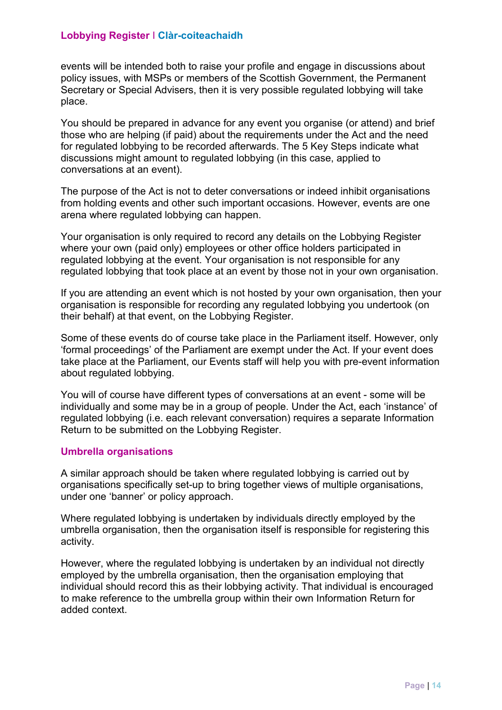events will be intended both to raise your profile and engage in discussions about policy issues, with MSPs or members of the Scottish Government, the Permanent Secretary or Special Advisers, then it is very possible regulated lobbying will take place.

 You should be prepared in advance for any event you organise (or attend) and brief those who are helping (if paid) about the requirements under the Act and the need for regulated lobbying to be recorded afterwards. The 5 Key Steps indicate what discussions might amount to regulated lobbying (in this case, applied to conversations at an event).

The purpose of the Act is not to deter conversations or indeed inhibit organisations from holding events and other such important occasions. However, events are one arena where regulated lobbying can happen.

 where your own (paid only) employees or other office holders participated in regulated lobbying that took place at an event by those not in your own organisation. Your organisation is only required to record any details on the Lobbying Register regulated lobbying at the event. Your organisation is not responsible for any

If you are attending an event which is not hosted by your own organisation, then your organisation is responsible for recording any regulated lobbying you undertook (on their behalf) at that event, on the Lobbying Register.

 'formal proceedings' of the Parliament are exempt under the Act. If your event does take place at the Parliament, our Events staff will help you with pre-event information Some of these events do of course take place in the Parliament itself. However, only about regulated lobbying.

 You will of course have different types of conversations at an event - some will be individually and some may be in a group of people. Under the Act, each 'instance' of regulated lobbying (i.e. each relevant conversation) requires a separate Information Return to be submitted on the Lobbying Register.

#### **Umbrella organisations**

 A similar approach should be taken where regulated lobbying is carried out by organisations specifically set-up to bring together views of multiple organisations, under one 'banner' or policy approach.

Where regulated lobbying is undertaken by individuals directly employed by the umbrella organisation, then the organisation itself is responsible for registering this activity.

 However, where the regulated lobbying is undertaken by an individual not directly employed by the umbrella organisation, then the organisation employing that individual should record this as their lobbying activity. That individual is encouraged to make reference to the umbrella group within their own Information Return for added context.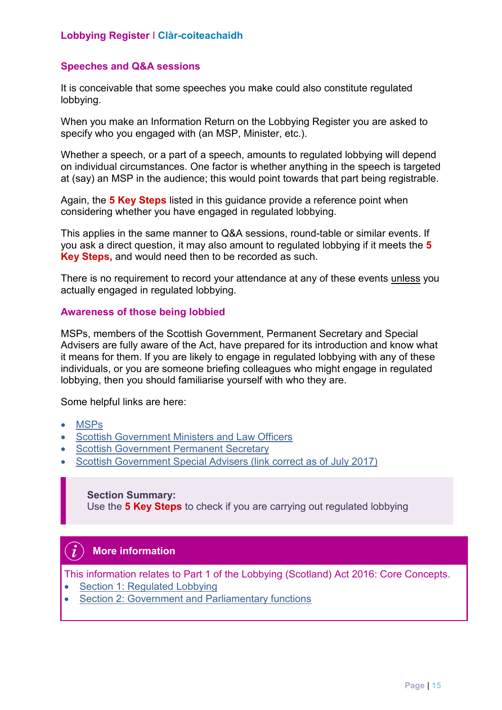#### **Speeches and Q&A sessions**

It is conceivable that some speeches you make could also constitute regulated lobbying.

When you make an Information Return on the Lobbying Register you are asked to specify who you engaged with (an MSP, Minister, etc.).

 Whether a speech, or a part of a speech, amounts to regulated lobbying will depend on individual circumstances. One factor is whether anything in the speech is targeted at (say) an MSP in the audience; this would point towards that part being registrable.

 considering whether you have engaged in regulated lobbying. Again, the **5 Key Steps** listed in this guidance provide a reference point when

 This applies in the same manner to Q&A sessions, round-table or similar events. If Key Steps, and would need then to be recorded as such. you ask a direct question, it may also amount to regulated lobbying if it meets the **5** 

**Key Steps,** and would need then to be recorded as such.<br>There is no requirement to record your attendance at any of these events <u>unless</u> you actually engaged in regulated lobbying.

#### **Awareness of those being lobbied**

 MSPs, members of the Scottish Government, Permanent Secretary and Special Advisers are fully aware of the Act, have prepared for its introduction and know what it means for them. If you are likely to engage in regulated lobbying with any of these individuals, or you are someone briefing colleagues who might engage in regulated lobbying, then you should familiarise yourself with who they are.

Some helpful links are here:

- [MSPs](http://www.parliament.scot/msps/current-msps.aspx)
- Scottish Government Ministers and Law Officers
- Scottish Government Permanent Secretary
- [Scottish Government Special Advisers \(link correct as of July 2017\)](https://beta.gov.scot/publications/special-advisers-february-2018/)

#### **Section Summary:**

Use the **5 Key Steps** to check if you are carrying out regulated lobbying

#### **More information**

This information relates to Part 1 of the Lobbying (Scotland) Act 2016: Core Concepts.

- [Section 1: Regulated Lobbying](http://www.legislation.gov.uk/asp/2016/16/part/1/enacted)
- Section 2: Government and Parliamentary functions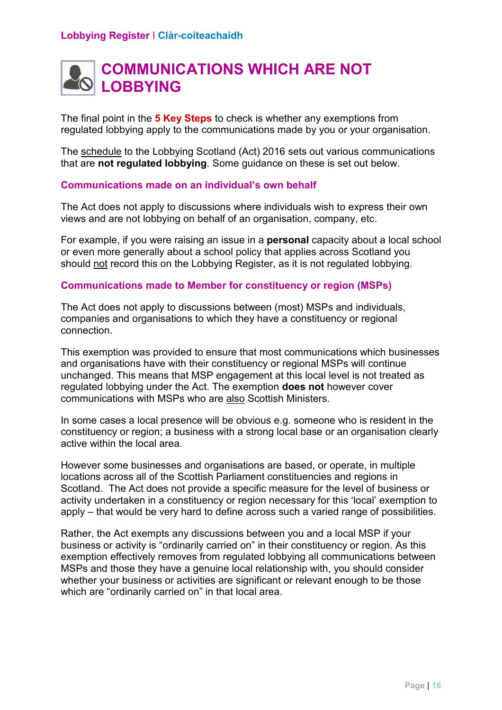

 The final point in the **5 Key Steps** to check is whether any exemptions from regulated lobbying apply to the communications made by you or your organisation.

The <u>schedule</u> to the Lobbying Scotland (Act) 2016 sets out various communications that are **not regulated lobbying**. Some guidance on these is set out below.

#### **Communications made on an individual's own behalf**

 views and are not lobbying on behalf of an organisation, company, etc. The Act does not apply to discussions where individuals wish to express their own

For example, if you were raising an issue in a **personal** capacity about a local school or even more generally about a school policy that applies across Scotland you should not record this on the Lobbying Register, as it is not regulated lobbying.

#### **Communications made to Member for constituency or region (MSPs)**

The Act does not apply to discussions between (most) MSPs and individuals, companies and organisations to which they have a constituency or regional connection.

 regulated lobbying under the Act. The exemption **does not** however cover This exemption was provided to ensure that most communications which businesses and organisations have with their constituency or regional MSPs will continue unchanged. This means that MSP engagement at this local level is not treated as communications with MSPs who are also Scottish Ministers.

 In some cases a local presence will be obvious e.g. someone who is resident in the constituency or region; a business with a strong local base or an organisation clearly active within the local area.

 Scotland. The Act does not provide a specific measure for the level of business or However some businesses and organisations are based, or operate, in multiple locations across all of the Scottish Parliament constituencies and regions in activity undertaken in a constituency or region necessary for this 'local' exemption to apply – that would be very hard to define across such a varied range of possibilities.

 which are "ordinarily carried on" in that local area. Rather, the Act exempts any discussions between you and a local MSP if your business or activity is "ordinarily carried on" in their constituency or region. As this exemption effectively removes from regulated lobbying all communications between MSPs and those they have a genuine local relationship with, you should consider whether your business or activities are significant or relevant enough to be those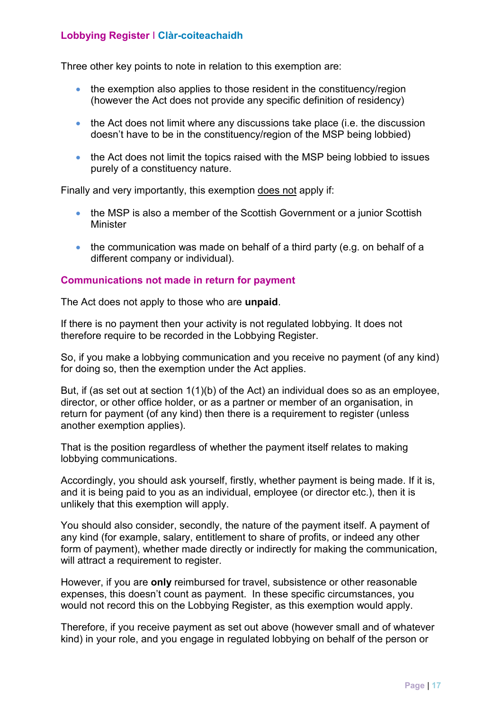Three other key points to note in relation to this exemption are:

- the exemption also applies to those resident in the constituency/region (however the Act does not provide any specific definition of residency)
- the Act does not limit where any discussions take place (i.e. the discussion doesn't have to be in the constituency/region of the MSP being lobbied)
- the Act does not limit the topics raised with the MSP being lobbied to issues purely of a constituency nature.

Finally and very importantly, this exemption does not apply if:

- the MSP is also a member of the Scottish Government or a junior Scottish Minister
- the communication was made on behalf of a third party (e.g. on behalf of a different company or individual).

#### **Communications not made in return for payment**

The Act does not apply to those who are **unpaid**.

 If there is no payment then your activity is not regulated lobbying. It does not therefore require to be recorded in the Lobbying Register.

So, if you make a lobbying communication and you receive no payment (of any kind) for doing so, then the exemption under the Act applies.

But, if (as set out at section 1(1)(b) of the Act) an individual does so as an employee, director, or other office holder, or as a partner or member of an organisation, in return for payment (of any kind) then there is a requirement to register (unless another exemption applies).

That is the position regardless of whether the payment itself relates to making lobbying communications.

 Accordingly, you should ask yourself, firstly, whether payment is being made. If it is, unlikely that this exemption will apply. and it is being paid to you as an individual, employee (or director etc.), then it is

You should also consider, secondly, the nature of the payment itself. A payment of any kind (for example, salary, entitlement to share of profits, or indeed any other form of payment), whether made directly or indirectly for making the communication, will attract a requirement to register.

 expenses, this doesn't count as payment. In these specific circumstances, you would not record this on the Lobbying Register, as this exemption would apply. However, if you are **only** reimbursed for travel, subsistence or other reasonable

Therefore, if you receive payment as set out above (however small and of whatever kind) in your role, and you engage in regulated lobbying on behalf of the person or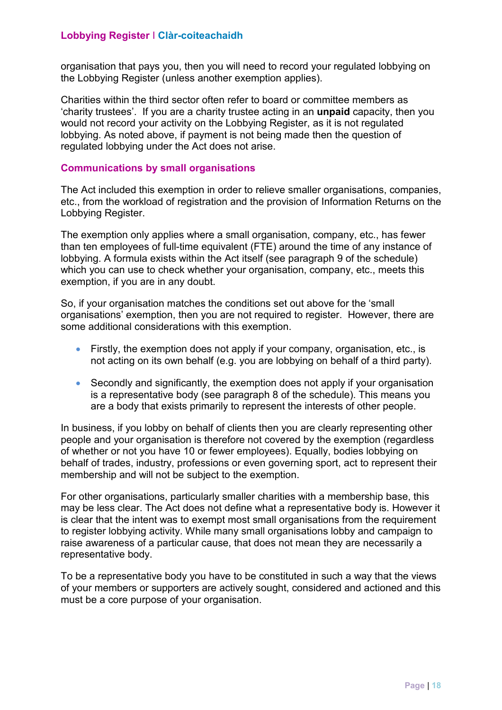the Lobbying Register (unless another exemption applies). organisation that pays you, then you will need to record your regulated lobbying on

Charities within the third sector often refer to board or committee members as 'charity trustees'. If you are a charity trustee acting in an **unpaid** capacity, then you would not record your activity on the Lobbying Register, as it is not regulated lobbying. As noted above, if payment is not being made then the question of regulated lobbying under the Act does not arise.

#### **Communications by small organisations**

 etc., from the workload of registration and the provision of Information Returns on the The Act included this exemption in order to relieve smaller organisations, companies, Lobbying Register.

 The exemption only applies where a small organisation, company, etc., has fewer than ten employees of full-time equivalent (FTE) around the time of any instance of lobbying. A formula exists within the Act itself (see paragraph 9 of the schedule) which you can use to check whether your organisation, company, etc., meets this exemption, if you are in any doubt.

 So, if your organisation matches the conditions set out above for the 'small organisations' exemption, then you are not required to register. However, there are some additional considerations with this exemption.

- Firstly, the exemption does not apply if your company, organisation, etc., is not acting on its own behalf (e.g. you are lobbying on behalf of a third party).
- Secondly and significantly, the exemption does not apply if your organisation is a representative body (see paragraph 8 of the schedule). This means you are a body that exists primarily to represent the interests of other people.

In business, if you lobby on behalf of clients then you are clearly representing other people and your organisation is therefore not covered by the exemption (regardless of whether or not you have 10 or fewer employees). Equally, bodies lobbying on behalf of trades, industry, professions or even governing sport, act to represent their membership and will not be subject to the exemption.

 For other organisations, particularly smaller charities with a membership base, this may be less clear. The Act does not define what a representative body is. However it is clear that the intent was to exempt most small organisations from the requirement to register lobbying activity. While many small organisations lobby and campaign to raise awareness of a particular cause, that does not mean they are necessarily a representative body.

To be a representative body you have to be constituted in such a way that the views of your members or supporters are actively sought, considered and actioned and this must be a core purpose of your organisation.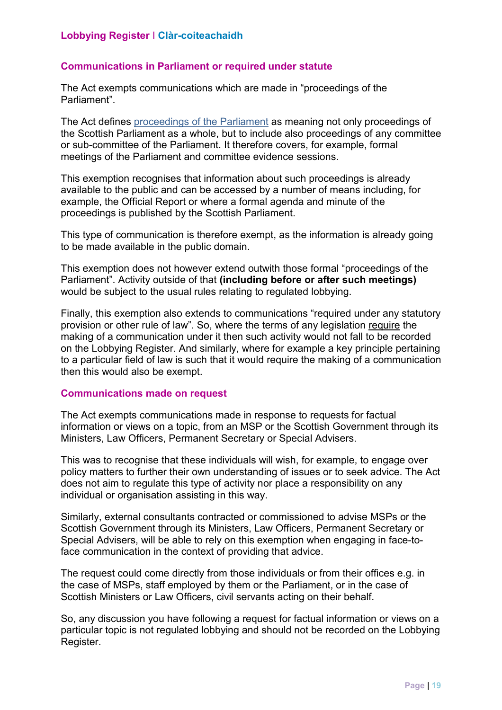#### **Communications in Parliament or required under statute**

The Act exempts communications which are made in "proceedings of the Parliament".

 the Scottish Parliament as a whole, but to include also proceedings of any committee The Act define[s proceedings of the Parliament](http://www.legislation.gov.uk/asp/2016/16/section/47) as meaning not only proceedings of or sub-committee of the Parliament. It therefore covers, for example, formal meetings of the Parliament and committee evidence sessions.

This exemption recognises that information about such proceedings is already available to the public and can be accessed by a number of means including, for example, the Official Report or where a formal agenda and minute of the proceedings is published by the Scottish Parliament.

 This type of communication is therefore exempt, as the information is already going to be made available in the public domain.

This exemption does not however extend outwith those formal "proceedings of the Parliament". Activity outside of that **(including before or after such meetings)**  would be subject to the usual rules relating to regulated lobbying.

 making of a communication under it then such activity would not fall to be recorded Finally, this exemption also extends to communications "required under any statutory provision or other rule of law". So, where the terms of any legislation require the on the Lobbying Register. And similarly, where for example a key principle pertaining to a particular field of law is such that it would require the making of a communication then this would also be exempt.

#### **Communications made on request**

 The Act exempts communications made in response to requests for factual information or views on a topic, from an MSP or the Scottish Government through its Ministers, Law Officers, Permanent Secretary or Special Advisers.

This was to recognise that these individuals will wish, for example, to engage over policy matters to further their own understanding of issues or to seek advice. The Act does not aim to regulate this type of activity nor place a responsibility on any individual or organisation assisting in this way.

 Similarly, external consultants contracted or commissioned to advise MSPs or the Scottish Government through its Ministers, Law Officers, Permanent Secretary or Special Advisers, will be able to rely on this exemption when engaging in face-toface communication in the context of providing that advice.

The request could come directly from those individuals or from their offices e.g. in the case of MSPs, staff employed by them or the Parliament, or in the case of Scottish Ministers or Law Officers, civil servants acting on their behalf.

particular topic is <u>not</u> regulated lobbying and should <u>not</u> be recorded on the Lobbying So, any discussion you have following a request for factual information or views on a Register.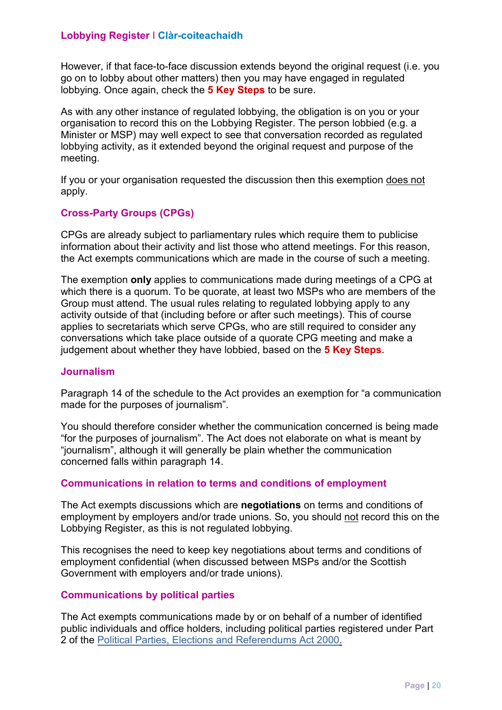However, if that face-to-face discussion extends beyond the original request (i.e. you lobbying. Once again, check the **5 Key Steps** to be sure. go on to lobby about other matters) then you may have engaged in regulated

meeting. As with any other instance of regulated lobbying, the obligation is on you or your organisation to record this on the Lobbying Register. The person lobbied (e.g. a Minister or MSP) may well expect to see that conversation recorded as regulated lobbying activity, as it extended beyond the original request and purpose of the

meeting.<br>If you or your organisation requested the discussion then this exemption <u>does not</u> apply.

#### **Cross-Party Groups (CPGs)**

 the Act exempts communications which are made in the course of such a meeting. CPGs are already subject to parliamentary rules which require them to publicise information about their activity and list those who attend meetings. For this reason,

 The exemption **only** applies to communications made during meetings of a CPG at applies to secretariats which serve CPGs, who are still required to consider any judgement about whether they have lobbied, based on the **5 Key Steps**. which there is a quorum. To be quorate, at least two MSPs who are members of the Group must attend. The usual rules relating to regulated lobbying apply to any activity outside of that (including before or after such meetings). This of course conversations which take place outside of a quorate CPG meeting and make a

#### **Journalism**

Paragraph 14 of the schedule to the Act provides an exemption for "a communication made for the purposes of journalism".

You should therefore consider whether the communication concerned is being made "for the purposes of journalism". The Act does not elaborate on what is meant by "journalism", although it will generally be plain whether the communication concerned falls within paragraph 14.

#### **Communications in relation to terms and conditions of employment**

The Act exempts discussions which are **negotiations** on terms and conditions of employment by employers and/or trade unions. So, you should not record this on the Lobbying Register, as this is not regulated lobbying.

This recognises the need to keep key negotiations about terms and conditions of employment confidential (when discussed between MSPs and/or the Scottish Government with employers and/or trade unions).

#### **Communications by political parties**

 public individuals and office holders, including political parties registered under Part 2 of the [Political Parties, Elections and Referendums Act 2000.](http://www.legislation.gov.uk/ukpga/2000/41/part/II)  The Act exempts communications made by or on behalf of a number of identified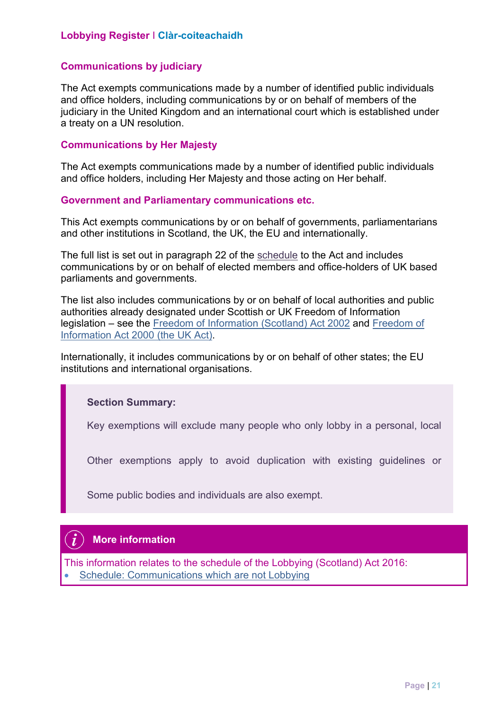#### **Communications by judiciary**

The Act exempts communications made by a number of identified public individuals and office holders, including communications by or on behalf of members of the judiciary in the United Kingdom and an international court which is established under a treaty on a UN resolution.

#### **Communications by Her Majesty**

The Act exempts communications made by a number of identified public individuals and office holders, including Her Majesty and those acting on Her behalf.

**Government and Parliamentary communications etc.** 

 This Act exempts communications by or on behalf of governments, parliamentarians and other institutions in Scotland, the UK, the EU and internationally.

The full list is set out in paragraph 22 of the <u>schedule</u> to the Act and includes communications by or on behalf of elected members and office-holders of UK based parliaments and governments.

 The list also includes communications by or on behalf of local authorities and public legislation – see th[e Freedom of Information \(Scotland\) Act 2002](http://www.legislation.gov.uk/asp/2002/13/schedule/1) and [Freedom of](http://www.legislation.gov.uk/ukpga/2000/36/schedule/1)  authorities already designated under Scottish or UK Freedom of Information [Information Act 2000 \(the UK Act\).](http://www.legislation.gov.uk/ukpga/2000/36/schedule/1)

Internationally, it includes communications by or on behalf of other states; the EU institutions and international organisations.

#### **Section Summary:**

Key exemptions will exclude many people who only lobby in a personal, local

Other exemptions apply to avoid duplication with existing guidelines or

Some public bodies and individuals are also exempt.

#### **More information**

• Schedule: Communications which are not Lobbying This information relates to the schedule of the Lobbying (Scotland) Act 2016: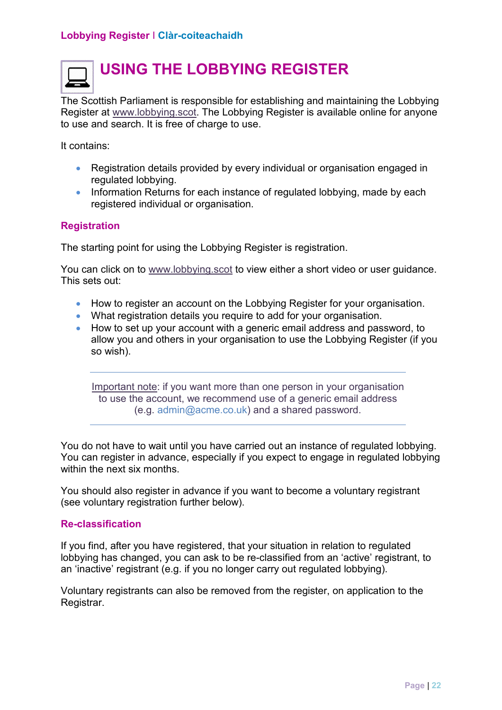

## **USING THE LOBBYING REGISTER**

 to use and search. It is free of charge to use. The Scottish Parliament is responsible for establishing and maintaining the Lobbying Register at www.lobbying.scot. The Lobbying Register is available online for anyone

It contains:

- Registration details provided by every individual or organisation engaged in regulated lobbying.
- Information Returns for each instance of regulated lobbying, made by each registered individual or organisation.

#### **Registration**

The starting point for using the Lobbying Register is registration.

You can click on to www.lobbying.scot to view either a short video or user guidance. This sets out:

- How to register an account on the Lobbying Register for your organisation.
- What registration details you require to add for your organisation.
- How to set up your account with a generic email address and password, to allow you and others in your organisation to use the Lobbying Register (if you so wish).

Important note: if you want more than one person in your organisation to use the account, we recommend use of a generic email address (e.g. admin@acme.co.uk) and a shared password.

You do not have to wait until you have carried out an instance of regulated lobbying. You can register in advance, especially if you expect to engage in regulated lobbying within the next six months.

You should also register in advance if you want to become a voluntary registrant (see voluntary registration further below).

#### **Re-classification**

an 'inactive' registrant (e.g. if you no longer carry out regulated lobbying). If you find, after you have registered, that your situation in relation to regulated lobbying has changed, you can ask to be re-classified from an 'active' registrant, to

Voluntary registrants can also be removed from the register, on application to the Registrar.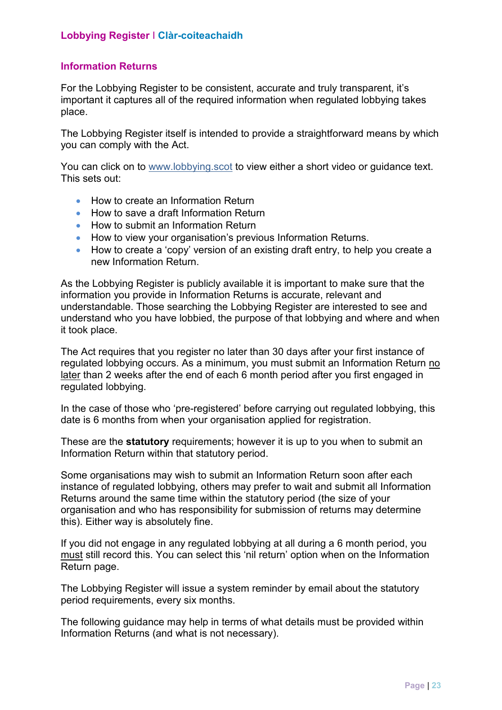#### **Information Returns**

For the Lobbying Register to be consistent, accurate and truly transparent, it's important it captures all of the required information when regulated lobbying takes place.

The Lobbying Register itself is intended to provide a straightforward means by which you can comply with the Act.

You can click on to www.lobbying.scot to view either a short video or guidance text. This sets out:

- How to create an Information Return
- How to save a draft Information Return
- How to submit an Information Return
- How to submit an Information Return<br>● How to view your organisation's previous Information Returns.
- How to create a 'copy' version of an existing draft entry, to help you create a new Information Return.

 As the Lobbying Register is publicly available it is important to make sure that the it took place. information you provide in Information Returns is accurate, relevant and understandable. Those searching the Lobbying Register are interested to see and understand who you have lobbied, the purpose of that lobbying and where and when

regulated lobbying occurs. As a minimum, you must submit an Information Return <u>no</u> <u>later</u> than 2 weeks after the end of each 6 month period after you first engaged in <sub>.</sub> The Act requires that you register no later than 30 days after your first instance of regulated lobbying.

In the case of those who 'pre-registered' before carrying out regulated lobbying, this date is 6 months from when your organisation applied for registration.

These are the **statutory** requirements; however it is up to you when to submit an Information Return within that statutory period.

Some organisations may wish to submit an Information Return soon after each instance of regulated lobbying, others may prefer to wait and submit all Information Returns around the same time within the statutory period (the size of your organisation and who has responsibility for submission of returns may determine this). Either way is absolutely fine.

must still record this. You can select this 'nil return' option when on the Information If you did not engage in any regulated lobbying at all during a 6 month period, you Return page.

The Lobbying Register will issue a system reminder by email about the statutory period requirements, every six months.

 The following guidance may help in terms of what details must be provided within Information Returns (and what is not necessary).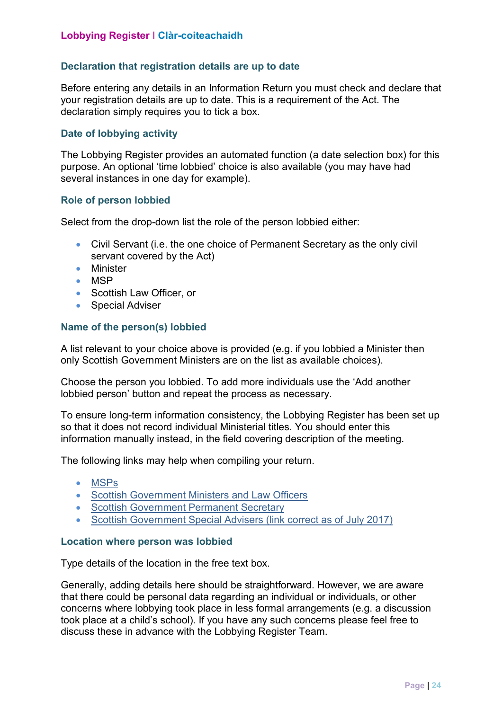#### **Declaration that registration details are up to date**

 your registration details are up to date. This is a requirement of the Act. The Before entering any details in an Information Return you must check and declare that declaration simply requires you to tick a box.

#### **Date of lobbying activity**

 purpose. An optional 'time lobbied' choice is also available (you may have had The Lobbying Register provides an automated function (a date selection box) for this several instances in one day for example).

#### **Role of person lobbied**

Select from the drop-down list the role of the person lobbied either:

- Civil Servant (i.e. the one choice of Permanent Secretary as the only civil servant covered by the Act)
- Minister
- MSP
- Scottish Law Officer, or
- Special Adviser

#### **Name of the person(s) lobbied**

 A list relevant to your choice above is provided (e.g. if you lobbied a Minister then only Scottish Government Ministers are on the list as available choices).

Choose the person you lobbied. To add more individuals use the 'Add another lobbied person' button and repeat the process as necessary.

 information manually instead, in the field covering description of the meeting. To ensure long-term information consistency, the Lobbying Register has been set up so that it does not record individual Ministerial titles. You should enter this

The following links may help when compiling your return.

- [MSPs](http://www.parliament.scot/msps/current-msps.aspx)
- Scottish Government Ministers and Law Officers
- Scottish Government Permanent Secretary
- Scottish Government Special Advisers (link correct as of July 2017)

#### **Location where person was lobbied**

Type details of the location in the free text box.

 that there could be personal data regarding an individual or individuals, or other Generally, adding details here should be straightforward. However, we are aware concerns where lobbying took place in less formal arrangements (e.g. a discussion took place at a child's school). If you have any such concerns please feel free to discuss these in advance with the Lobbying Register Team.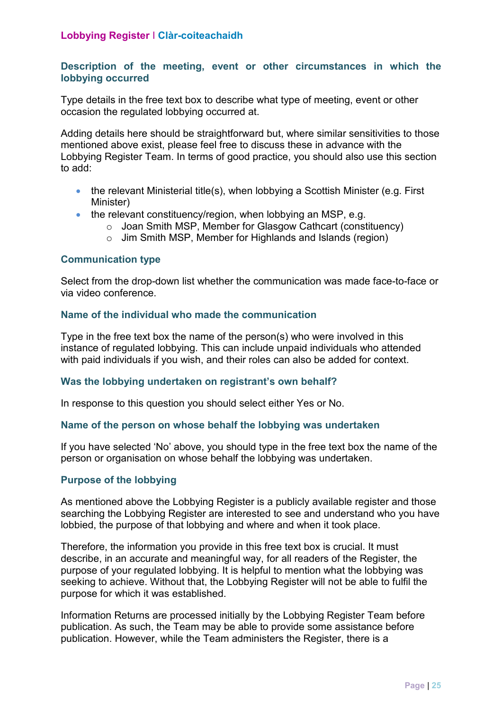#### **Description of the meeting, event or other circumstances in which the lobbying occurred**

 Type details in the free text box to describe what type of meeting, event or other occasion the regulated lobbying occurred at.

 Lobbying Register Team. In terms of good practice, you should also use this section Adding details here should be straightforward but, where similar sensitivities to those mentioned above exist, please feel free to discuss these in advance with the to add:

- the relevant Ministerial title(s), when lobbying a Scottish Minister (e.g. First Minister)
- the relevant constituency/region, when lobbying an MSP, e.g.
	- o Joan Smith MSP, Member for Glasgow Cathcart (constituency)
	- o Jim Smith MSP, Member for Highlands and Islands (region)

#### **Communication type**

Select from the drop-down list whether the communication was made face-to-face or via video conference.

#### **Name of the individual who made the communication**

 with paid individuals if you wish, and their roles can also be added for context. Type in the free text box the name of the person(s) who were involved in this instance of regulated lobbying. This can include unpaid individuals who attended

#### **Was the lobbying undertaken on registrant's own behalf?**

In response to this question you should select either Yes or No.

#### **Name of the person on whose behalf the lobbying was undertaken**

If you have selected 'No' above, you should type in the free text box the name of the person or organisation on whose behalf the lobbying was undertaken.

#### **Purpose of the lobbying**

lobbied, the purpose of that lobbying and where and when it took place. As mentioned above the Lobbying Register is a publicly available register and those searching the Lobbying Register are interested to see and understand who you have

 purpose of your regulated lobbying. It is helpful to mention what the lobbying was Therefore, the information you provide in this free text box is crucial. It must describe, in an accurate and meaningful way, for all readers of the Register, the seeking to achieve. Without that, the Lobbying Register will not be able to fulfil the purpose for which it was established.

Information Returns are processed initially by the Lobbying Register Team before publication. As such, the Team may be able to provide some assistance before publication. However, while the Team administers the Register, there is a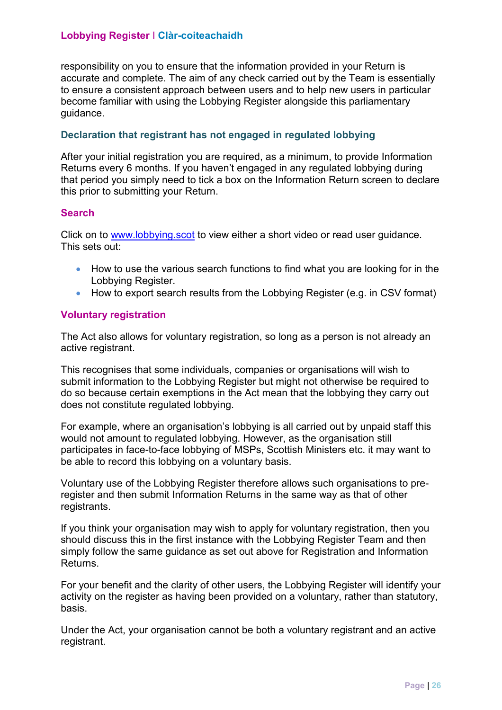accurate and complete. The aim of any check carried out by the Team is essentially responsibility on you to ensure that the information provided in your Return is to ensure a consistent approach between users and to help new users in particular become familiar with using the Lobbying Register alongside this parliamentary guidance.

#### **Declaration that registrant has not engaged in regulated lobbying**

 this prior to submitting your Return. After your initial registration you are required, as a minimum, to provide Information Returns every 6 months. If you haven't engaged in any regulated lobbying during that period you simply need to tick a box on the Information Return screen to declare

#### **Search**

Click on to <u>www.lobbying.scot</u> to view either a short video or read user guidance. This sets out:

- How to use the various search functions to find what you are looking for in the Lobbying Register.
- How to export search results from the Lobbying Register (e.g. in CSV format)

#### **Voluntary registration**

 The Act also allows for voluntary registration, so long as a person is not already an active registrant.

 does not constitute regulated lobbying. This recognises that some individuals, companies or organisations will wish to submit information to the Lobbying Register but might not otherwise be required to do so because certain exemptions in the Act mean that the lobbying they carry out

 would not amount to regulated lobbying. However, as the organisation still be able to record this lobbying on a voluntary basis. For example, where an organisation's lobbying is all carried out by unpaid staff this participates in face-to-face lobbying of MSPs, Scottish Ministers etc. it may want to

Voluntary use of the Lobbying Register therefore allows such organisations to preregister and then submit Information Returns in the same way as that of other registrants.

If you think your organisation may wish to apply for voluntary registration, then you should discuss this in the first instance with the Lobbying Register Team and then simply follow the same guidance as set out above for Registration and Information Returns.

basis. For your benefit and the clarity of other users, the Lobbying Register will identify your activity on the register as having been provided on a voluntary, rather than statutory,

Under the Act, your organisation cannot be both a voluntary registrant and an active registrant.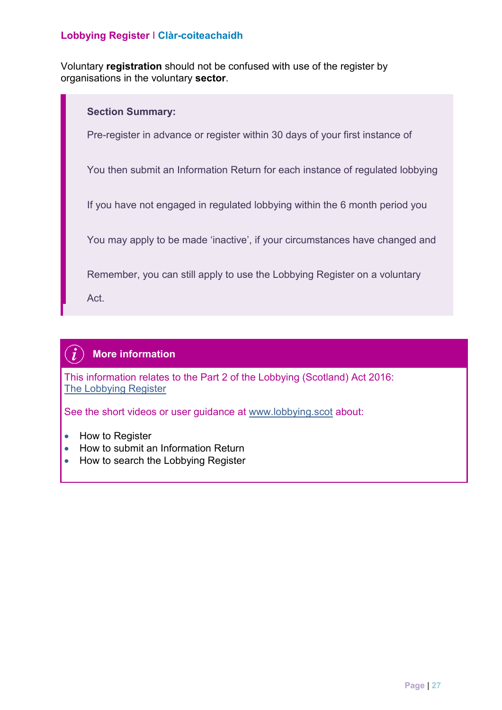Voluntary **registration** should not be confused with use of the register by organisations in the voluntary **sector**.



#### $\boldsymbol{i}$ **More information**

This information relates to the Part 2 of the Lobbying (Scotland) Act 2016: [The Lobbying Register](http://www.legislation.gov.uk/asp/2016/16/part/2/enacted) 

See the short videos or user guidance at www.lobbying.scot about:

- How to Register
- How to submit an Information Return
- How to search the Lobbying Register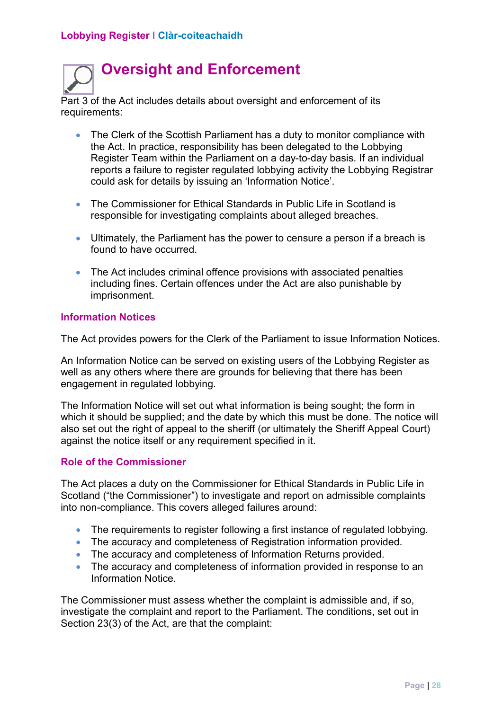

Part 3 of the Act includes details about oversight and enforcement of its requirements:

- The Clerk of the Scottish Parliament has a duty to monitor compliance with reports a failure to register regulated lobbying activity the Lobbying Registrar could ask for details by issuing an 'Information Notice'. the Act. In practice, responsibility has been delegated to the Lobbying Register Team within the Parliament on a day-to-day basis. If an individual
- The Commissioner for Ethical Standards in Public Life in Scotland is responsible for investigating complaints about alleged breaches.
- Ultimately, the Parliament has the power to censure a person if a breach is found to have occurred.
- The Act includes criminal offence provisions with associated penalties including fines. Certain offences under the Act are also punishable by imprisonment.

#### **Information Notices**

The Act provides powers for the Clerk of the Parliament to issue Information Notices.

 An Information Notice can be served on existing users of the Lobbying Register as well as any others where there are grounds for believing that there has been engagement in regulated lobbying.

 also set out the right of appeal to the sheriff (or ultimately the Sheriff Appeal Court) The Information Notice will set out what information is being sought; the form in which it should be supplied; and the date by which this must be done. The notice will against the notice itself or any requirement specified in it.

#### **Role of the Commissioner**

The Act places a duty on the Commissioner for Ethical Standards in Public Life in Scotland ("the Commissioner") to investigate and report on admissible complaints into non-compliance. This covers alleged failures around:

- The requirements to register following a first instance of regulated lobbying.
- The accuracy and completeness of Registration information provided.
- The accuracy and completeness of Information Returns provided.
- The accuracy and completeness of information provided in response to an Information Notice.

The Commissioner must assess whether the complaint is admissible and, if so, investigate the complaint and report to the Parliament. The conditions, set out in Section 23(3) of the Act, are that the complaint: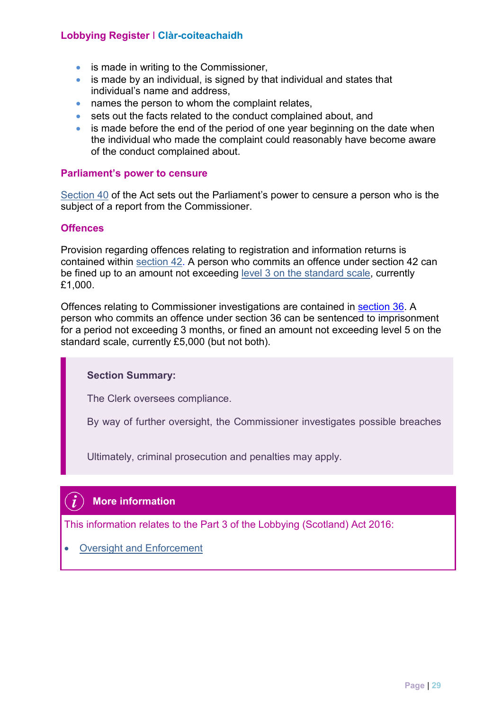- is made in writing to the Commissioner,
- is made by an individual, is signed by that individual and states that individual's name and address,
- names the person to whom the complaint relates,
- sets out the facts related to the conduct complained about, and
- is made before the end of the period of one year beginning on the date when the individual who made the complaint could reasonably have become aware of the conduct complained about.

#### **Parliament's power to censure**

[Section 40 o](http://www.legislation.gov.uk/asp/2016/16/section/40/enacted)f the Act sets out the Parliament's power to censure a person who is the subject of a report from the Commissioner.

#### **Offences**

Provision regarding offences relating to registration and information returns is contained within [section 42.](http://www.legislation.gov.uk/asp/2016/16/section/42/enacted) A person who commits an offence under section 42 can be fined up to an amount not exceeding [level 3 on the standard scale,](http://www.legislation.gov.uk/ukpga/1982/48/part/III/crossheading/introduction-of-standard-scale-of-fines) currently £1,000.

Offences relating to Commissioner investigations are contained in [section 36](http://www.legislation.gov.uk/asp/2016/16/section/36/enacted). A person who commits an offence under section 36 can be sentenced to imprisonment for a period not exceeding 3 months, or fined an amount not exceeding level 5 on the standard scale, currently £5,000 (but not both).

#### **Section Summary:**

The Clerk oversees compliance.

By way of further oversight, the Commissioner investigates possible breaches

Ultimately, criminal prosecution and penalties may apply.

#### **More information**

This information relates to the Part 3 of the Lobbying (Scotland) Act 2016:

• **Oversight and Enforcement**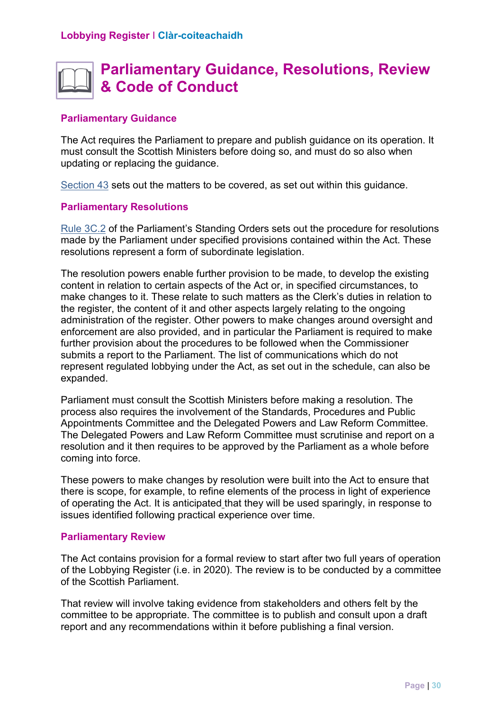## **Parliamentary Guidance, Resolutions, Review & Code of Conduct**

#### **Parliamentary Guidance**

updating or replacing the guidance. The Act requires the Parliament to prepare and publish guidance on its operation. It must consult the Scottish Ministers before doing so, and must do so also when

[Section 43 s](http://www.legislation.gov.uk/asp/2016/16/section/43/enacted)ets out the matters to be covered, as set out within this guidance.

#### **Parliamentary Resolutions**

 resolutions represent a form of subordinate legislation. [Rule 3C.2 o](http://www.scottish.parliament.uk/parliamentarybusiness/104908.aspx)f the Parliament's Standing Orders sets out the procedure for resolutions made by the Parliament under specified provisions contained within the Act. These

The resolution powers enable further provision to be made, to develop the existing content in relation to certain aspects of the Act or, in specified circumstances, to make changes to it. These relate to such matters as the Clerk's duties in relation to the register, the content of it and other aspects largely relating to the ongoing administration of the register. Other powers to make changes around oversight and enforcement are also provided, and in particular the Parliament is required to make further provision about the procedures to be followed when the Commissioner submits a report to the Parliament. The list of communications which do not represent regulated lobbying under the Act, as set out in the schedule, can also be expanded.

 Parliament must consult the Scottish Ministers before making a resolution. The process also requires the involvement of the Standards, Procedures and Public The Delegated Powers and Law Reform Committee must scrutinise and report on a coming into force. Appointments Committee and the Delegated Powers and Law Reform Committee. resolution and it then requires to be approved by the Parliament as a whole before

 there is scope, for example, to refine elements of the process in light of experience of operating the Act. It is anticipated that they will be used sparingly, in response to These powers to make changes by resolution were built into the Act to ensure that issues identified following practical experience over time.

#### **Parliamentary Review**

The Act contains provision for a formal review to start after two full years of operation of the Lobbying Register (i.e. in 2020). The review is to be conducted by a committee of the Scottish Parliament.

 That review will involve taking evidence from stakeholders and others felt by the committee to be appropriate. The committee is to publish and consult upon a draft report and any recommendations within it before publishing a final version.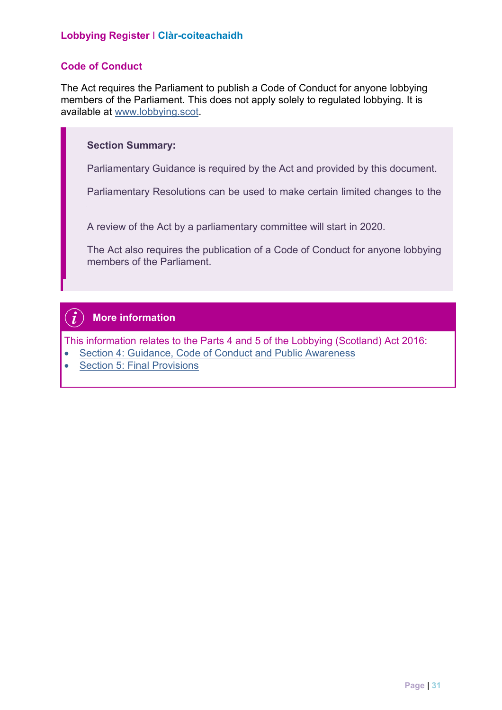#### **Code of Conduct**

 The Act requires the Parliament to publish a Code of Conduct for anyone lobbying members of the Parliament. This does not apply solely to regulated lobbying. It is available at www.lobbying.scot.

#### **Section Summary:**

Parliamentary Guidance is required by the Act and provided by this document.

Parliamentary Resolutions can be used to make certain limited changes to the

A review of the Act by a parliamentary committee will start in 2020.

The Act also requires the publication of a Code of Conduct for anyone lobbying members of the Parliament.

#### $\vec{L}$ **More information**

This information relates to the Parts 4 and 5 of the Lobbying (Scotland) Act 2016:

- [Section 4: Guidance, Code of Conduct and Public Awareness](http://www.legislation.gov.uk/asp/2016/16/part/4/enacted)
- **Section 5: Final Provisions**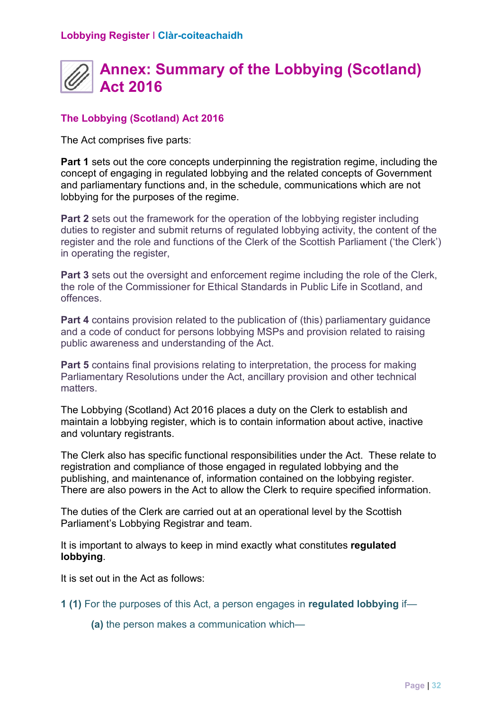## **Annex: Summary of the Lobbying (Scotland) Act 2016**

#### **The Lobbying (Scotland) Act 2016**

The Act comprises five parts:

 lobbying for the purposes of the regime. **Part 1** sets out the core concepts underpinning the registration regime, including the concept of engaging in regulated lobbying and the related concepts of Government and parliamentary functions and, in the schedule, communications which are not

**Part 2** sets out the framework for the operation of the lobbying register including duties to register and submit returns of regulated lobbying activity, the content of the register and the role and functions of the Clerk of the Scottish Parliament ('the Clerk') in operating the register,

 the role of the Commissioner for Ethical Standards in Public Life in Scotland, and **Part 3** sets out the oversight and enforcement regime including the role of the Clerk, offences.

 public awareness and understanding of the Act. **Part 4** contains provision related to the publication of (this) parliamentary guidance and a code of conduct for persons lobbying MSPs and provision related to raising

 **Part 5** contains final provisions relating to interpretation, the process for making Parliamentary Resolutions under the Act, ancillary provision and other technical matters.

The Lobbying (Scotland) Act 2016 places a duty on the Clerk to establish and maintain a lobbying register, which is to contain information about active, inactive and voluntary registrants.

 The Clerk also has specific functional responsibilities under the Act. These relate to registration and compliance of those engaged in regulated lobbying and the publishing, and maintenance of, information contained on the lobbying register. There are also powers in the Act to allow the Clerk to require specified information.

The duties of the Clerk are carried out at an operational level by the Scottish Parliament's Lobbying Registrar and team.

 It is important to always to keep in mind exactly what constitutes **regulated lobbying**.

It is set out in the Act as follows:

**1 (1)** For the purposes of this Act, a person engages in **regulated lobbying** if—

**(a)** the person makes a communication which—